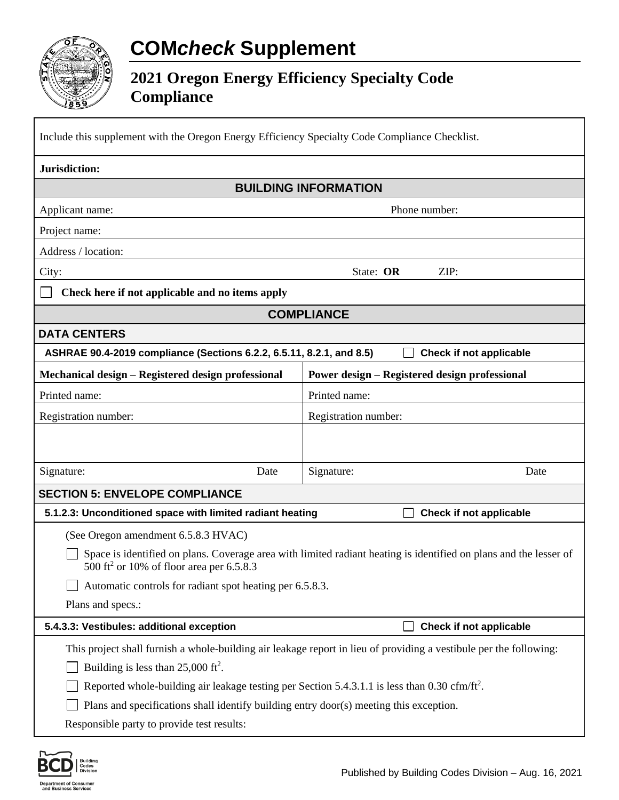## **COM***check* **Supplement**

## **2021 Oregon Energy Efficiency Specialty Code Compliance**

| Include this supplement with the Oregon Energy Efficiency Specialty Code Compliance Checklist.                                                                                                                                                                                      |                                                      |  |  |
|-------------------------------------------------------------------------------------------------------------------------------------------------------------------------------------------------------------------------------------------------------------------------------------|------------------------------------------------------|--|--|
| Jurisdiction:                                                                                                                                                                                                                                                                       |                                                      |  |  |
| <b>BUILDING INFORMATION</b>                                                                                                                                                                                                                                                         |                                                      |  |  |
| Applicant name:                                                                                                                                                                                                                                                                     | Phone number:                                        |  |  |
| Project name:                                                                                                                                                                                                                                                                       |                                                      |  |  |
| Address / location:                                                                                                                                                                                                                                                                 |                                                      |  |  |
| City:                                                                                                                                                                                                                                                                               | ZIP:<br>State: OR                                    |  |  |
| Check here if not applicable and no items apply                                                                                                                                                                                                                                     |                                                      |  |  |
| <b>COMPLIANCE</b>                                                                                                                                                                                                                                                                   |                                                      |  |  |
| <b>DATA CENTERS</b>                                                                                                                                                                                                                                                                 |                                                      |  |  |
| ASHRAE 90.4-2019 compliance (Sections 6.2.2, 6.5.11, 8.2.1, and 8.5)<br>Check if not applicable                                                                                                                                                                                     |                                                      |  |  |
| Mechanical design - Registered design professional                                                                                                                                                                                                                                  | <b>Power design - Registered design professional</b> |  |  |
| Printed name:                                                                                                                                                                                                                                                                       | Printed name:                                        |  |  |
| Registration number:                                                                                                                                                                                                                                                                | Registration number:                                 |  |  |
|                                                                                                                                                                                                                                                                                     |                                                      |  |  |
| Signature:<br>Date                                                                                                                                                                                                                                                                  | Signature:<br>Date                                   |  |  |
| <b>SECTION 5: ENVELOPE COMPLIANCE</b>                                                                                                                                                                                                                                               |                                                      |  |  |
| Check if not applicable<br>5.1.2.3: Unconditioned space with limited radiant heating                                                                                                                                                                                                |                                                      |  |  |
| (See Oregon amendment 6.5.8.3 HVAC)                                                                                                                                                                                                                                                 |                                                      |  |  |
| Space is identified on plans. Coverage area with limited radiant heating is identified on plans and the lesser of<br>500 ft <sup>2</sup> or 10% of floor area per 6.5.8.3                                                                                                           |                                                      |  |  |
| Automatic controls for radiant spot heating per 6.5.8.3.                                                                                                                                                                                                                            |                                                      |  |  |
| Plans and specs.:                                                                                                                                                                                                                                                                   |                                                      |  |  |
| 5.4.3.3: Vestibules: additional exception                                                                                                                                                                                                                                           | Check if not applicable                              |  |  |
| This project shall furnish a whole-building air leakage report in lieu of providing a vestibule per the following:<br>Building is less than $25,000$ ft <sup>2</sup> .<br>Reported whole-building air leakage testing per Section 5.4.3.1.1 is less than 0.30 cfm/ft <sup>2</sup> . |                                                      |  |  |
| Plans and specifications shall identify building entry door(s) meeting this exception.                                                                                                                                                                                              |                                                      |  |  |
| Responsible party to provide test results:                                                                                                                                                                                                                                          |                                                      |  |  |